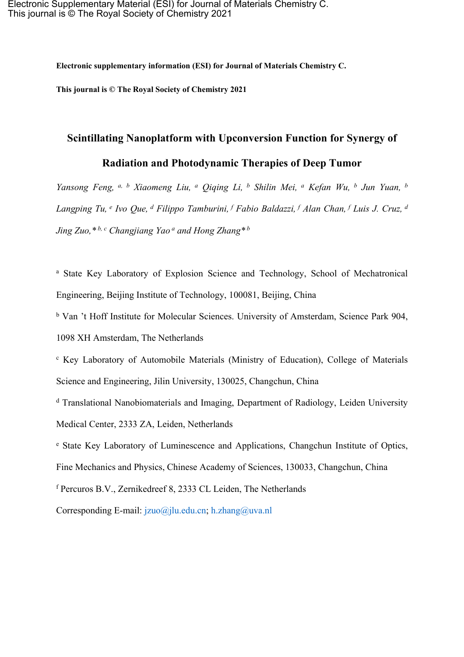**Electronic supplementary information (ESI) for Journal of Materials Chemistry C.**

**This journal is © The Royal Society of Chemistry 2021**

## **Scintillating Nanoplatform with Upconversion Function for Synergy of**

## **Radiation and Photodynamic Therapies of Deep Tumor**

*Yansong Feng, a, <sup>b</sup> Xiaomeng Liu, <sup>a</sup> Qiqing Li, <sup>b</sup> Shilin Mei, <sup>a</sup> Kefan Wu, <sup>b</sup> Jun Yuan, <sup>b</sup>* Langping Tu, <sup>e</sup> Ivo Que, <sup>d</sup> Filippo Tamburini, <sup>f</sup> Fabio Baldazzi, <sup>f</sup> Alan Chan, <sup>f</sup> Luis J. Cruz, <sup>d</sup> *Jing Zuo,\* b, <sup>c</sup> Changjiang Yao <sup>a</sup> and Hong Zhang\* <sup>b</sup>*

<sup>a</sup> State Key Laboratory of Explosion Science and Technology, School of Mechatronical Engineering, Beijing Institute of Technology, 100081, Beijing, China

<sup>b</sup> Van 't Hoff Institute for Molecular Sciences. University of Amsterdam, Science Park 904,

1098 XH Amsterdam, The Netherlands

<sup>c</sup> Key Laboratory of Automobile Materials (Ministry of Education), College of Materials Science and Engineering, Jilin University, 130025, Changchun, China

<sup>d</sup> Translational Nanobiomaterials and Imaging, Department of Radiology, Leiden University Medical Center, 2333 ZA, Leiden, Netherlands

<sup>e</sup> State Key Laboratory of Luminescence and Applications, Changchun Institute of Optics, Fine Mechanics and Physics, Chinese Academy of Sciences, 130033, Changchun, China

<sup>f</sup> Percuros B.V., Zernikedreef 8, 2333 CL Leiden, The Netherlands

Corresponding E-mail: [jzuo@jlu.edu.cn](mailto:jzuo@jlu.edu.cn); [h.zhang@uva.nl](mailto:h.zhang@uva.nl)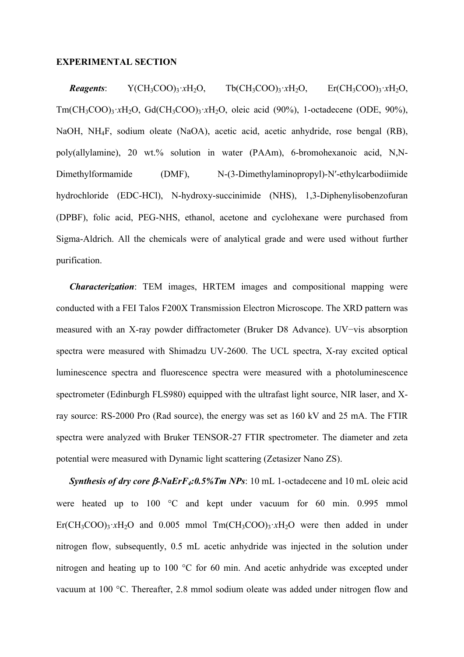## **EXPERIMENTAL SECTION**

*Reagents*:  $Y(CH_3COO)_3 \cdot xH_2O$ ,  $Tb(CH_3COO)_3 \cdot xH_2O$ ,  $Er(CH_3COO)_3 \cdot xH_2O$ , Tm(CH<sub>3</sub>COO)<sub>3</sub>·*x*H<sub>2</sub>O, Gd(CH<sub>3</sub>COO)<sub>3</sub>·*xH<sub>2</sub>O*, oleic acid (90%), 1-octadecene (ODE, 90%), NaOH, NH4F, sodium oleate (NaOA), acetic acid, acetic anhydride, rose bengal (RB), poly(allylamine), 20 wt.% solution in water (PAAm), 6-bromohexanoic acid, N,N-Dimethylformamide (DMF), N-(3-Dimethylaminopropyl)-N'-ethylcarbodiimide hydrochloride (EDC-HCl), N-hydroxy-succinimide (NHS), 1,3-Diphenylisobenzofuran (DPBF), folic acid, PEG-NHS, ethanol, acetone and cyclohexane were purchased from Sigma-Aldrich. All the chemicals were of analytical grade and were used without further purification.

*Characterization*: TEM images, HRTEM images and compositional mapping were conducted with a FEI Talos F200X Transmission Electron Microscope. The XRD pattern was measured with an X-ray powder diffractometer (Bruker D8 Advance). UV−vis absorption spectra were measured with Shimadzu UV-2600. The UCL spectra, X-ray excited optical luminescence spectra and fluorescence spectra were measured with a photoluminescence spectrometer (Edinburgh FLS980) equipped with the ultrafast light source, NIR laser, and Xray source: RS-2000 Pro (Rad source), the energy was set as 160 kV and 25 mA. The FTIR spectra were analyzed with Bruker TENSOR-27 FTIR spectrometer. The diameter and zeta potential were measured with Dynamic light scattering (Zetasizer Nano ZS).

*Synthesis of dry core*  $\beta$ *-NaErF<sub>4</sub>:0.5%Tm NPs*: 10 mL 1-octadecene and 10 mL oleic acid were heated up to 100 °C and kept under vacuum for 60 min. 0.995 mmol  $E_r(CH_3COO)_3 \cdot xH_2O$  and 0.005 mmol  $T_m(CH_3COO)_3 \cdot xH_2O$  were then added in under nitrogen flow, subsequently, 0.5 mL acetic anhydride was injected in the solution under nitrogen and heating up to 100 °C for 60 min. And acetic anhydride was excepted under vacuum at 100 °C. Thereafter, 2.8 mmol sodium oleate was added under nitrogen flow and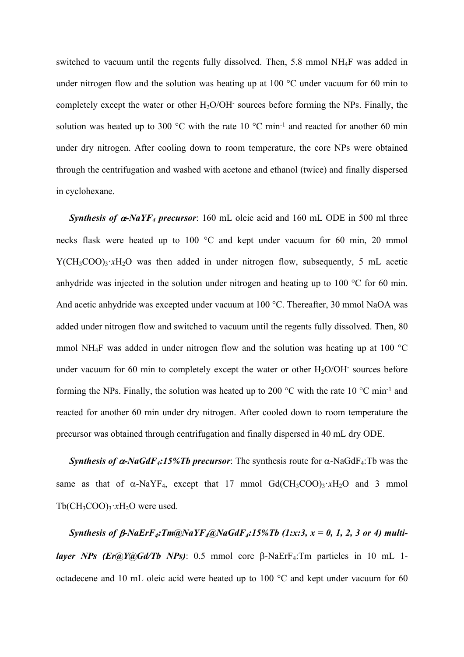switched to vacuum until the regents fully dissolved. Then, 5.8 mmol NH4F was added in under nitrogen flow and the solution was heating up at 100 °C under vacuum for 60 min to completely except the water or other  $H_2O/OH$  sources before forming the NPs. Finally, the solution was heated up to 300 °C with the rate 10 °C min<sup>-1</sup> and reacted for another 60 min under dry nitrogen. After cooling down to room temperature, the core NPs were obtained through the centrifugation and washed with acetone and ethanol (twice) and finally dispersed in cyclohexane.

*Synthesis of*  $\alpha$ -NaYF<sub>4</sub> precursor: 160 mL oleic acid and 160 mL ODE in 500 ml three necks flask were heated up to 100 °C and kept under vacuum for 60 min, 20 mmol  $Y(CH_3COO)_3 \cdot xH_2O$  was then added in under nitrogen flow, subsequently, 5 mL acetic anhydride was injected in the solution under nitrogen and heating up to 100 °C for 60 min. And acetic anhydride was excepted under vacuum at 100 °C. Thereafter, 30 mmol NaOA was added under nitrogen flow and switched to vacuum until the regents fully dissolved. Then, 80 mmol NH<sub>4</sub>F was added in under nitrogen flow and the solution was heating up at 100  $^{\circ}$ C under vacuum for 60 min to completely except the water or other  $H_2O/OH$ - sources before forming the NPs. Finally, the solution was heated up to 200  $\degree$ C with the rate 10  $\degree$ C min<sup>-1</sup> and reacted for another 60 min under dry nitrogen. After cooled down to room temperature the precursor was obtained through centrifugation and finally dispersed in 40 mL dry ODE.

*Synthesis of*  $\alpha$ -NaGdF<sub>4</sub>:15%Tb precursor: The synthesis route for  $\alpha$ -NaGdF<sub>4</sub>:Tb was the same as that of  $\alpha$ -NaYF<sub>4</sub>, except that 17 mmol Gd(CH<sub>3</sub>COO)<sub>3</sub>·*x*H<sub>2</sub>O and 3 mmol  $Tb(CH_3COO)_3 \cdot xH_2O$  were used.

*Synthesis of*  $\beta$ -*NaErF<sub>4</sub>:Tm*( $\alpha$ *NaYF<sub>4</sub>* $\alpha$ *NaGdF<sub>4</sub>:15%Tb* (1*:x:3,*  $x = 0, 1, 2, 3$  *or* 4) *multilayer NPs* (*Er@Y@Gd/Tb NPs*): 0.5 mmol core  $\beta$ -NaErF<sub>4</sub>:Tm particles in 10 mL 1octadecene and 10 mL oleic acid were heated up to 100 °C and kept under vacuum for 60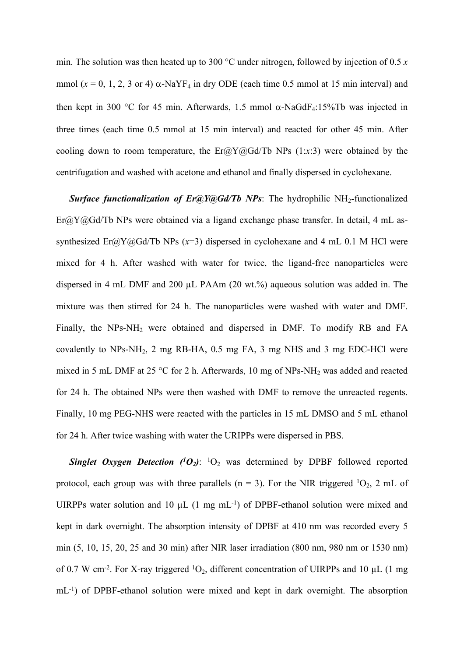min. The solution was then heated up to 300 °C under nitrogen, followed by injection of 0.5 *x* mmol  $(x = 0, 1, 2, 3 \text{ or } 4)$   $\alpha$ -NaYF<sub>4</sub> in dry ODE (each time 0.5 mmol at 15 min interval) and then kept in 300 °C for 45 min. Afterwards, 1.5 mmol  $\alpha$ -NaGdF<sub>4</sub>:15%Tb was injected in three times (each time 0.5 mmol at 15 min interval) and reacted for other 45 min. After cooling down to room temperature, the  $Er@Y@Gd/Tb$  NPs (1:*x*:3) were obtained by the centrifugation and washed with acetone and ethanol and finally dispersed in cyclohexane.

**Surface functionalization of Er@Y@Gd/Tb NPs:** The hydrophilic NH<sub>2</sub>-functionalized  $E_r(a)Y(a)Gd/Tb$  NPs were obtained via a ligand exchange phase transfer. In detail, 4 mL assynthesized Er@Y@Gd/Tb NPs (*x*=3) dispersed in cyclohexane and 4 mL 0.1 M HCl were mixed for 4 h. After washed with water for twice, the ligand-free nanoparticles were dispersed in 4 mL DMF and 200 µL PAAm (20 wt.%) aqueous solution was added in. The mixture was then stirred for 24 h. The nanoparticles were washed with water and DMF. Finally, the  $NPs-NH_2$  were obtained and dispersed in DMF. To modify RB and FA covalently to NPs-NH2, 2 mg RB-HA, 0.5 mg FA, 3 mg NHS and 3 mg EDC-HCl were mixed in 5 mL DMF at 25 °C for 2 h. Afterwards, 10 mg of NPs-NH<sub>2</sub> was added and reacted for 24 h. The obtained NPs were then washed with DMF to remove the unreacted regents. Finally, 10 mg PEG-NHS were reacted with the particles in 15 mL DMSO and 5 mL ethanol for 24 h. After twice washing with water the URIPPs were dispersed in PBS.

*Singlet Oxygen Detection ( <sup>1</sup>O2)*: <sup>1</sup>O<sup>2</sup> was determined by DPBF followed reported protocol, each group was with three parallels ( $n = 3$ ). For the NIR triggered <sup>1</sup>O<sub>2</sub>, 2 mL of UIRPPs water solution and 10  $\mu$ L (1 mg mL<sup>-1</sup>) of DPBF-ethanol solution were mixed and kept in dark overnight. The absorption intensity of DPBF at 410 nm was recorded every 5 min (5, 10, 15, 20, 25 and 30 min) after NIR laser irradiation (800 nm, 980 nm or 1530 nm) of 0.7 W cm<sup>-2</sup>. For X-ray triggered  ${}^{1}O_{2}$ , different concentration of UIRPPs and 10 µL (1 mg mL-1) of DPBF-ethanol solution were mixed and kept in dark overnight. The absorption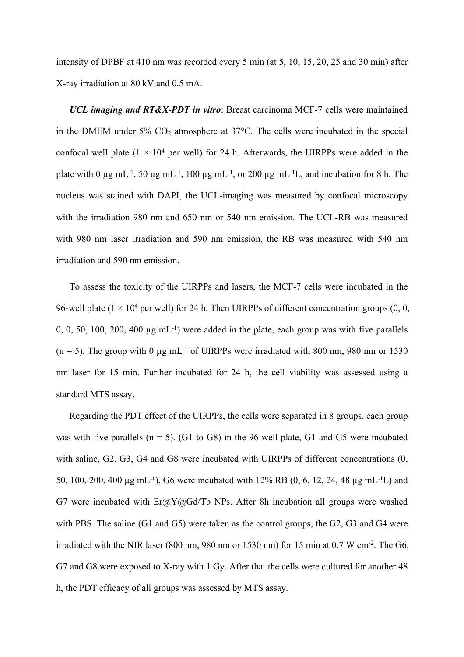intensity of DPBF at 410 nm was recorded every 5 min (at 5, 10, 15, 20, 25 and 30 min) after X-ray irradiation at 80 kV and 0.5 mA.

*UCL imaging and RT&X-PDT in vitro*: Breast carcinoma MCF-7 cells were maintained in the DMEM under 5%  $CO_2$  atmosphere at 37 $\degree$ C. The cells were incubated in the special confocal well plate  $(1 \times 10^4$  per well) for 24 h. Afterwards, the UIRPPs were added in the plate with 0  $\mu$ g mL<sup>-1</sup>, 50  $\mu$ g mL<sup>-1</sup>, 100  $\mu$ g mL<sup>-1</sup>, or 200  $\mu$ g mL<sup>-1</sup>L, and incubation for 8 h. The nucleus was stained with DAPI, the UCL-imaging was measured by confocal microscopy with the irradiation 980 nm and 650 nm or 540 nm emission. The UCL-RB was measured with 980 nm laser irradiation and 590 nm emission, the RB was measured with 540 nm irradiation and 590 nm emission.

To assess the toxicity of the UIRPPs and lasers, the MCF-7 cells were incubated in the 96-well plate ( $1 \times 10^4$  per well) for 24 h. Then UIRPPs of different concentration groups (0, 0, 0, 0, 50, 100, 200, 400  $\mu$ g mL<sup>-1</sup>) were added in the plate, each group was with five parallels (n = 5). The group with 0  $\mu$ g mL<sup>-1</sup> of UIRPPs were irradiated with 800 nm, 980 nm or 1530 nm laser for 15 min. Further incubated for 24 h, the cell viability was assessed using a standard MTS assay.

Regarding the PDT effect of the UIRPPs, the cells were separated in 8 groups, each group was with five parallels  $(n = 5)$ . (G1 to G8) in the 96-well plate, G1 and G5 were incubated with saline, G2, G3, G4 and G8 were incubated with UIRPPs of different concentrations (0, 50, 100, 200, 400 µg mL-1), G6 were incubated with 12% RB (0, 6, 12, 24, 48 µg mL-1L) and G7 were incubated with  $Er@Y@Gd/Tb$  NPs. After 8h incubation all groups were washed with PBS. The saline (G1 and G5) were taken as the control groups, the G2, G3 and G4 were irradiated with the NIR laser (800 nm, 980 nm or 1530 nm) for 15 min at 0.7 W cm<sup>-2</sup>. The G6, G7 and G8 were exposed to X-ray with 1 Gy. After that the cells were cultured for another 48 h, the PDT efficacy of all groups was assessed by MTS assay.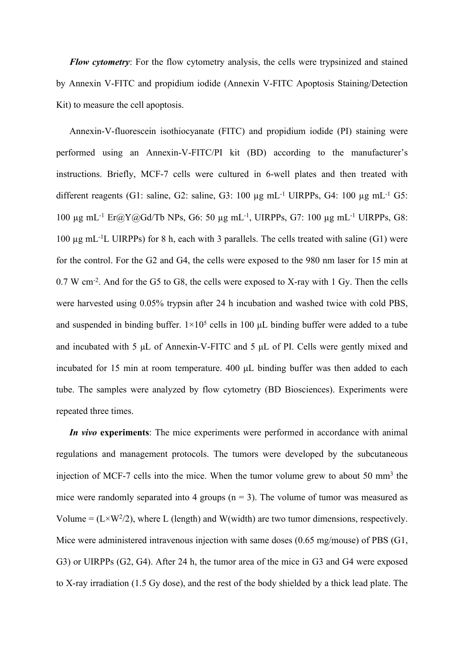*Flow cytometry*: For the flow cytometry analysis, the cells were trypsinized and stained by Annexin V-FITC and propidium iodide (Annexin V-FITC Apoptosis Staining/Detection Kit) to measure the cell apoptosis.

Annexin-V-fluorescein isothiocyanate (FITC) and propidium iodide (PI) staining were performed using an Annexin-V-FITC/PI kit (BD) according to the manufacturer's instructions. Briefly, MCF-7 cells were cultured in 6-well plates and then treated with different reagents (G1: saline, G2: saline, G3:  $100 \mu$ g mL<sup>-1</sup> UIRPPs, G4:  $100 \mu$ g mL<sup>-1</sup> G5: 100 µg mL-1 Er@Y@Gd/Tb NPs, G6: 50 µg mL-1 , UIRPPs, G7: 100 µg mL-1 UIRPPs, G8: 100 µg mL-1L UIRPPs) for 8 h, each with 3 parallels. The cells treated with saline (G1) were for the control. For the G2 and G4, the cells were exposed to the 980 nm laser for 15 min at 0.7 W cm<sup>-2</sup>. And for the G5 to G8, the cells were exposed to X-ray with 1 Gy. Then the cells were harvested using 0.05% trypsin after 24 h incubation and washed twice with cold PBS, and suspended in binding buffer.  $1\times10^5$  cells in 100  $\mu$ L binding buffer were added to a tube and incubated with 5 μL of Annexin-V-FITC and 5 μL of PI. Cells were gently mixed and incubated for 15 min at room temperature. 400 μL binding buffer was then added to each tube. The samples were analyzed by flow cytometry (BD Biosciences). Experiments were repeated three times.

*In vivo* **experiments**: The mice experiments were performed in accordance with animal regulations and management protocols. The tumors were developed by the subcutaneous injection of MCF-7 cells into the mice. When the tumor volume grew to about 50 mm<sup>3</sup> the mice were randomly separated into 4 groups  $(n = 3)$ . The volume of tumor was measured as Volume =  $(L \times W^2/2)$ , where L (length) and W(width) are two tumor dimensions, respectively. Mice were administered intravenous injection with same doses (0.65 mg/mouse) of PBS (G1, G3) or UIRPPs (G2, G4). After 24 h, the tumor area of the mice in G3 and G4 were exposed to X-ray irradiation (1.5 Gy dose), and the rest of the body shielded by a thick lead plate. The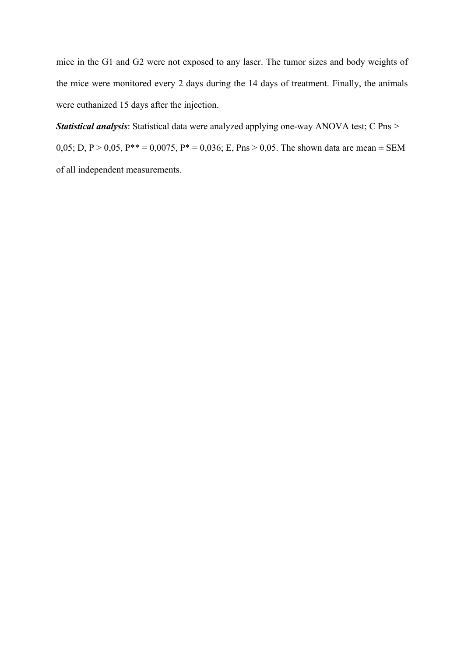mice in the G1 and G2 were not exposed to any laser. The tumor sizes and body weights of the mice were monitored every 2 days during the 14 days of treatment. Finally, the animals were euthanized 15 days after the injection.

*Statistical analysis*: Statistical data were analyzed applying one-way ANOVA test; C Pns > 0,05; D, P > 0,05, P\*\* = 0,0075, P\* = 0,036; E, Pns > 0,05. The shown data are mean  $\pm$  SEM of all independent measurements.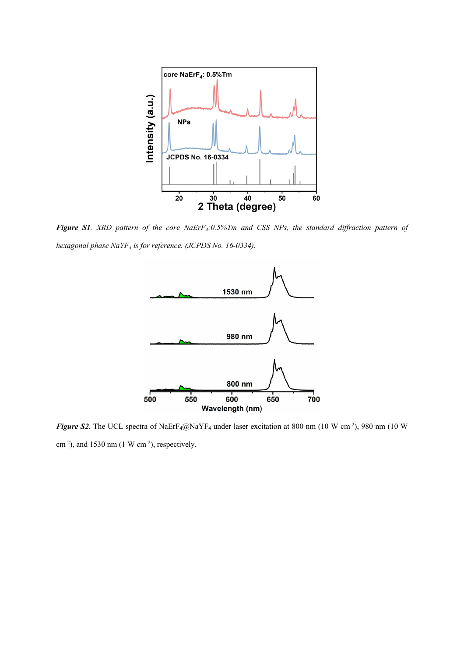

Figure S1. XRD pattern of the core NaEr $F_4$ :0.5%Tm and CSS NPs, the standard diffraction pattern of *hexagonal phase NaYF<sup>4</sup> is for reference. (JCPDS No. 16-0334).*



*Figure S2*. The UCL spectra of NaErF<sub>4</sub>@NaYF<sub>4</sub> under laser excitation at 800 nm (10 W cm<sup>-2</sup>), 980 nm (10 W cm<sup>-2</sup>), and 1530 nm (1 W cm<sup>-2</sup>), respectively.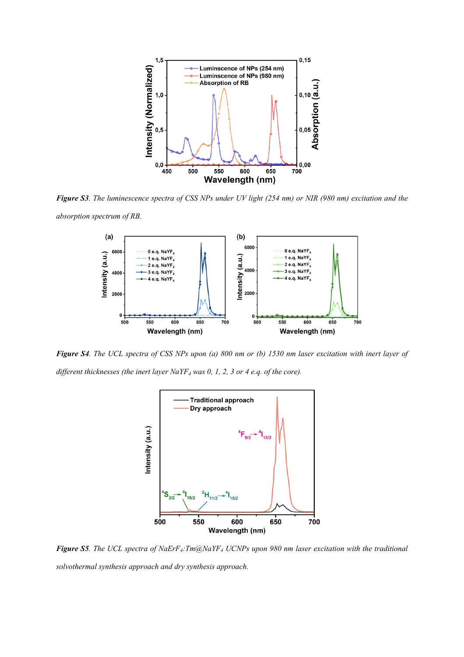

Figure S3. The luminescence spectra of CSS NPs under UV light (254 nm) or NIR (980 nm) excitation and the *absorption spectrum of RB.*



Figure S4. The UCL spectra of CSS NPs upon (a) 800 nm or (b) 1530 nm laser excitation with inert layer of *different thicknesses (the inert layer NaYF<sup>4</sup> was 0, 1, 2, 3 or 4 e.q. of the core).*



Figure S5. The UCL spectra of NaErF<sub>4</sub>: Tm@NaYF<sub>4</sub> UCNPs upon 980 nm laser excitation with the traditional *solvothermal synthesis approach and dry synthesis approach.*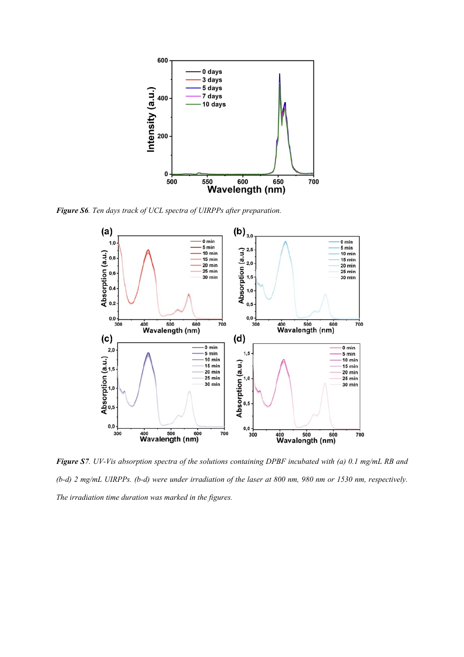

*Figure S6. Ten days track of UCL spectra of UIRPPs after preparation.*



Figure S7. UV-Vis absorption spectra of the solutions containing DPBF incubated with (a) 0.1 mg/mL RB and (b-d) 2 mg/mL UIRPPs. (b-d) were under irradiation of the laser at 800 nm, 980 nm or 1530 nm, respectively. *The irradiation time duration was marked in the figures.*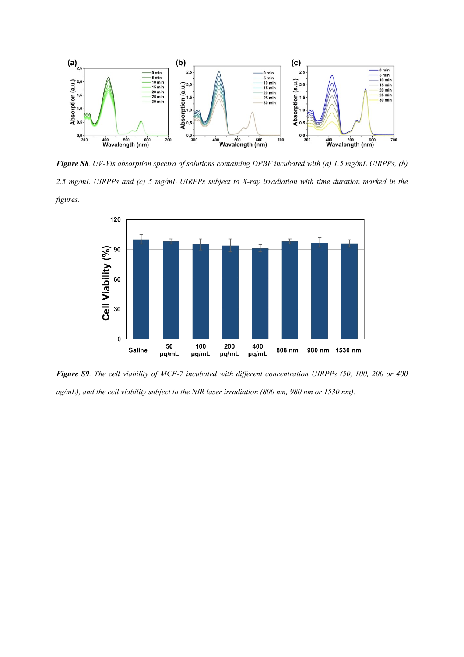

Figure S8. UV-Vis absorption spectra of solutions containing DPBF incubated with (a) 1.5 mg/mL UIRPPs, (b) 2.5 mg/mL UIRPPs and (c) 5 mg/mL UIRPPs subject to X-ray irradiation with time duration marked in the *figures.*



Figure S9. The cell viability of MCF-7 incubated with different concentration UIRPPs (50, 100, 200 or 400 *μg/mL), and the cell viability subject to the NIR laser irradiation (800 nm, 980 nm or 1530 nm).*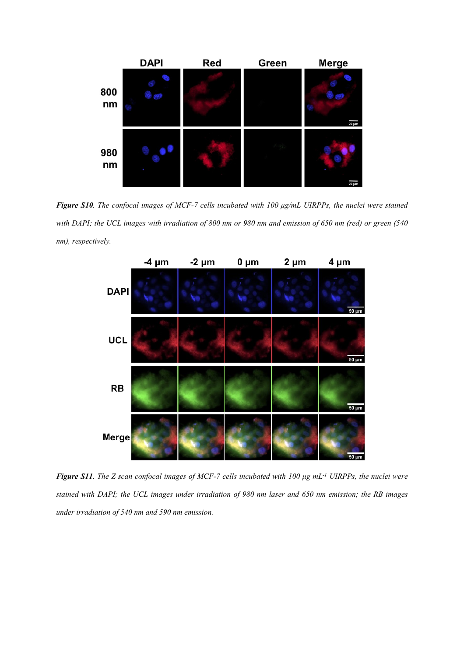

Figure S10. The confocal images of MCF-7 cells incubated with 100 µg/mL UIRPPs, the nuclei were stained with DAPI; the UCL images with irradiation of 800 nm or 980 nm and emission of 650 nm (red) or green (540 *nm), respectively.*



Figure S11. The Z scan confocal images of MCF-7 cells incubated with 100  $\mu$ g mL<sup>-1</sup> UIRPPs, the nuclei were stained with DAPI; the UCL images under irradiation of 980 nm laser and 650 nm emission; the RB images *under irradiation of 540 nm and 590 nm emission.*